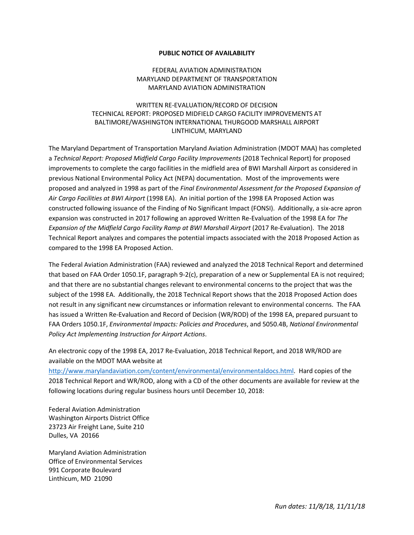## **PUBLIC NOTICE OF AVAILABILITY**

## FEDERAL AVIATION ADMINISTRATION MARYLAND DEPARTMENT OF TRANSPORTATION MARYLAND AVIATION ADMINISTRATION

## WRITTEN RE-EVALUATION/RECORD OF DECISION TECHNICAL REPORT: PROPOSED MIDFIELD CARGO FACILITY IMPROVEMENTS AT BALTIMORE/WASHINGTON INTERNATIONAL THURGOOD MARSHALL AIRPORT LINTHICUM, MARYLAND

The Maryland Department of Transportation Maryland Aviation Administration (MDOT MAA) has completed a *Technical Report: Proposed Midfield Cargo Facility Improvements* (2018 Technical Report) for proposed improvements to complete the cargo facilities in the midfield area of BWI Marshall Airport as considered in previous National Environmental Policy Act (NEPA) documentation. Most of the improvements were proposed and analyzed in 1998 as part of the *Final Environmental Assessment for the Proposed Expansion of Air Cargo Facilities at BWI Airport* (1998 EA).An initial portion of the 1998 EA Proposed Action was constructed following issuance of the Finding of No Significant Impact (FONSI). Additionally, a six-acre apron expansion was constructed in 2017 following an approved Written Re-Evaluation of the 1998 EA for *The Expansion of the Midfield Cargo Facility Ramp at BWI Marshall Airport* (2017 Re-Evaluation). The 2018 Technical Report analyzes and compares the potential impacts associated with the 2018 Proposed Action as compared to the 1998 EA Proposed Action.

The Federal Aviation Administration (FAA) reviewed and analyzed the 2018 Technical Report and determined that based on FAA Order 1050.1F, paragraph 9-2(c), preparation of a new or Supplemental EA is not required; and that there are no substantial changes relevant to environmental concerns to the project that was the subject of the 1998 EA. Additionally, the 2018 Technical Report shows that the 2018 Proposed Action does not result in any significant new circumstances or information relevant to environmental concerns. The FAA has issued a Written Re-Evaluation and Record of Decision (WR/ROD) of the 1998 EA, prepared pursuant to FAA Orders 1050.1F, *Environmental Impacts: Policies and Procedures*, and 5050.4B, *National Environmental Policy Act Implementing Instruction for Airport Actions*.

An electronic copy of the 1998 EA, 2017 Re-Evaluation, 2018 Technical Report, and 2018 WR/ROD are available on the MDOT MAA website at

[http://www.marylandaviation.com/content/environmental/environmentaldocs.html.](http://www.marylandaviation.com/content/environmental/environmentaldocs.html) Hard copies of the 2018 Technical Report and WR/ROD, along with a CD of the other documents are available for review at the following locations during regular business hours until December 10, 2018:

Federal Aviation Administration Washington Airports District Office 23723 Air Freight Lane, Suite 210 Dulles, VA 20166

Maryland Aviation Administration Office of Environmental Services 991 Corporate Boulevard Linthicum, MD 21090